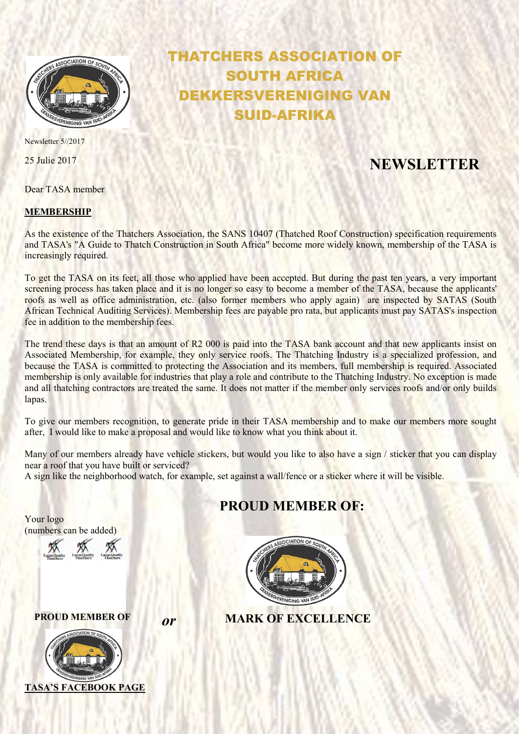

Newsletter 5//2017

Dear TASA member

### MEMBERSHIP

# THATCHERS ASSOCIATION OF SOUTH AFRICA DEKKERSVERENIGING VAN SUID-AFRIKA

## 25 Julie 2017 NEWSLETTER

As the existence of the Thatchers Association, the SANS 10407 (Thatched Roof Construction) specification requirements and TASA's "A Guide to Thatch Construction in South Africa" become more widely known, membership of the TASA is increasingly required.

To get the TASA on its feet, all those who applied have been accepted. But during the past ten years, a very important screening process has taken place and it is no longer so easy to become a member of the TASA, because the applicants' roofs as well as office administration, etc. (also former members who apply again) are inspected by SATAS (South African Technical Auditing Services). Membership fees are payable pro rata, but applicants must pay SATAS's inspection fee in addition to the membership fees.

The trend these days is that an amount of R2 000 is paid into the TASA bank account and that new applicants insist on Associated Membership, for example, they only service roofs. The Thatching Industry is a specialized profession, and because the TASA is committed to protecting the Association and its members, full membership is required. Associated membership is only available for industries that play a role and contribute to the Thatching Industry. No exception is made and all thatching contractors are treated the same. It does not matter if the member only services roofs and/or only builds lapas.

To give our members recognition, to generate pride in their TASA membership and to make our members more sought after, I would like to make a proposal and would like to know what you think about it.

Many of our members already have vehicle stickers, but would you like to also have a sign / sticker that you can display near a roof that you have built or serviced?

A sign like the neighborhood watch, for example, set against a wall/fence or a sticker where it will be visible.

### PROUD MEMBER OF:



PROUD MEMBER OF **OF MARK OF EXCELLENCE** 

Your logo

(numbers can be added)

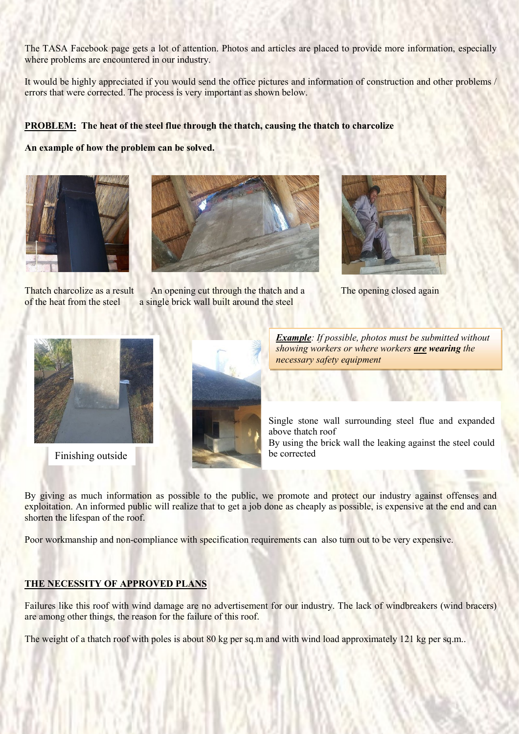The TASA Facebook page gets a lot of attention. Photos and articles are placed to provide more information, especially where problems are encountered in our industry.

It would be highly appreciated if you would send the office pictures and information of construction and other problems / errors that were corrected. The process is very important as shown below.

### PROBLEM: The heat of the steel flue through the thatch, causing the thatch to charcolize

An example of how the problem can be solved.





Thatch charcolize as a result An opening cut through the thatch and a The opening closed again of the heat from the steel a single brick wall built around the steel







Example: If possible, photos must be submitted without showing workers or where workers are wearing the necessary safety equipment

Single stone wall surrounding steel flue and expanded above thatch roof

By using the brick wall the leaking against the steel could

By giving as much information as possible to the public, we promote and protect our industry against offenses and exploitation. An informed public will realize that to get a job done as cheaply as possible, is expensive at the end and can shorten the lifespan of the roof.

Poor workmanship and non-compliance with specification requirements can also turn out to be very expensive.

### THE NECESSITY OF APPROVED PLANS

Failures like this roof with wind damage are no advertisement for our industry. The lack of windbreakers (wind bracers) are among other things, the reason for the failure of this roof.

The weight of a thatch roof with poles is about 80 kg per sq.m and with wind load approximately 121 kg per sq.m..